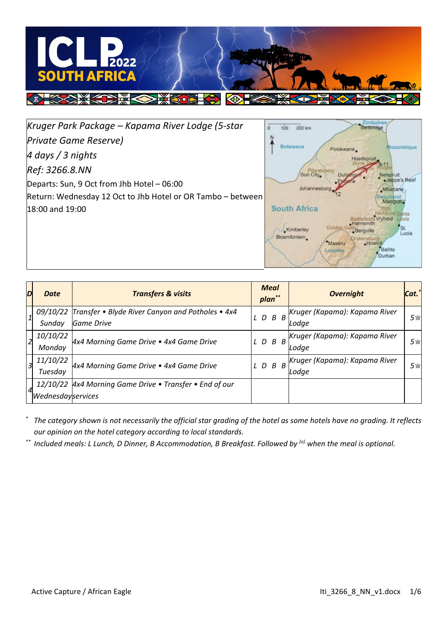

Zimbabw<br>Beitbridge *Kruger Park Package – Kapama River Lodge (5-star*   $\overline{6}$  $100$  $200 km$ *Private Game Reserve)*  $\lambda$ Botswana Mozambique Poloky *4 days / 3 nights*  Hoedspruit *Ref: 3266.8.NN* Sun City elspruit .Jeppe's Reef Departs: Sun, 9 Oct from Jhb Hotel – 06:00 Johannesby .Mbabane Return: Wednesday 12 Oct to Jhb Hotel or OR Tambo – between **Itand** Manguzi. 18:00 and 19:00 **South Africa** nta Vryheid Battlehelds 'st Kimberley Bergville

| D              | Date              | <b>Transfers &amp; visits</b>                             |      |                 | <b>Meal</b><br>plan** |       | <b>Overnight</b>              | Cat. |
|----------------|-------------------|-----------------------------------------------------------|------|-----------------|-----------------------|-------|-------------------------------|------|
| 1              |                   | 09/10/22 Transfer • Blyde River Canyon and Potholes • 4x4 |      |                 |                       |       | Kruger (Kapama): Kapama River | 5食   |
|                | Sundav            | Game Drive                                                | LDBB |                 |                       | Lodae |                               |      |
| $\overline{2}$ | 10/10/22          | 4x4 Morning Game Drive . 4x4 Game Drive                   |      | $L$ $D$ $B$ $B$ |                       |       | Kruger (Kapama): Kapama River | 5食   |
|                | Monday            |                                                           |      |                 |                       |       | Lodae                         |      |
| 3              | 11/10/22          | 4x4 Morning Game Drive . 4x4 Game Drive                   |      |                 | $L$ $D$ $B$ $B$       |       | Kruger (Kapama): Kapama River | 5食   |
|                | Tuesday           |                                                           |      |                 |                       |       | Lodae                         |      |
|                |                   | 12/10/22 Ax4 Morning Game Drive • Transfer • End of our   |      |                 |                       |       |                               |      |
|                | Wednesdayservices |                                                           |      |                 |                       |       |                               |      |

Bloemfontein

\*Maseru

Lesothe

*\* The category shown is not necessarily the official star grading of the hotel as some hotels have no grading. It reflects our opinion on the hotel category according to local standards.*

*\*\* Included meals: L Lunch, D Dinner, B Accommodation, B Breakfast. Followed by (o) when the meal is optional.*

Lucia

Howick<br>Ballito

Durban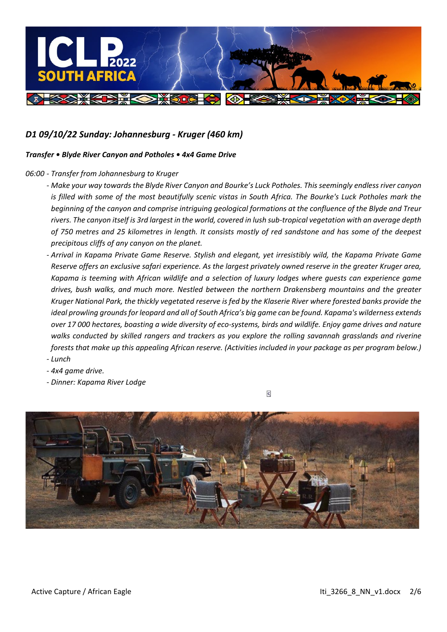

## *D1 09/10/22 Sunday: Johannesburg - Kruger (460 km)*

### *Transfer • Blyde River Canyon and Potholes • 4x4 Game Drive*

### *06:00 - Transfer from Johannesburg to Kruger*

- *- Make your way towards the Blyde River Canyon and Bourke's Luck Potholes. This seemingly endless river canyon is filled with some of the most beautifully scenic vistas in South Africa. The Bourke's Luck Potholes mark the beginning of the canyon and comprise intriguing geological formations at the confluence of the Blyde and Treur rivers. The canyon itself is 3rd largest in the world, covered in lush sub-tropical vegetation with an average depth of 750 metres and 25 kilometres in length. It consists mostly of red sandstone and has some of the deepest precipitous cliffs of any canyon on the planet.*
- *- Arrival in Kapama Private Game Reserve. Stylish and elegant, yet irresistibly wild, the Kapama Private Game Reserve offers an exclusive safari experience. As the largest privately owned reserve in the greater Kruger area, Kapama is teeming with African wildlife and a selection of luxury lodges where guests can experience game drives, bush walks, and much more. Nestled between the northern Drakensberg mountains and the greater Kruger National Park, the thickly vegetated reserve is fed by the Klaserie River where forested banks provide the ideal prowling grounds for leopard and all of South Africa's big game can be found. Kapama's wilderness extends over 17 000 hectares, boasting a wide diversity of eco-systems, birds and wildlife. Enjoy game drives and nature walks conducted by skilled rangers and trackers as you explore the rolling savannah grasslands and riverine forests that make up this appealing African reserve. (Activities included in your package as per program below.) - Lunch*
- *- 4x4 game drive.*
- *- Dinner: Kapama River Lodge*

**S** 

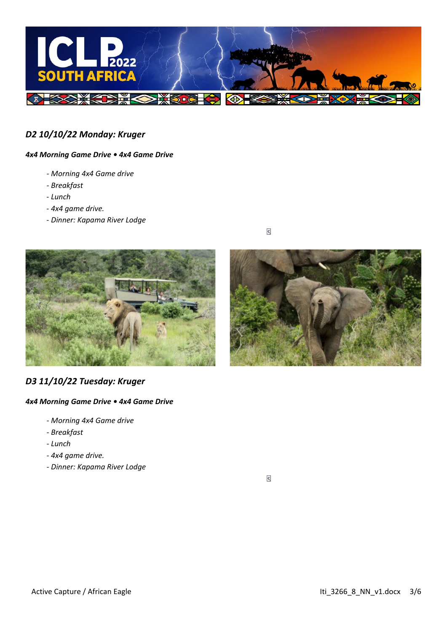

## *D2 10/10/22 Monday: Kruger*

### *4x4 Morning Game Drive • 4x4 Game Drive*

- *- Morning 4x4 Game drive*
- *- Breakfast*
- *- Lunch*
- *- 4x4 game drive.*
- *- Dinner: Kapama River Lodge*





## *D3 11/10/22 Tuesday: Kruger*

### *4x4 Morning Game Drive • 4x4 Game Drive*

- *- Morning 4x4 Game drive*
- *- Breakfast*
- *- Lunch*
- *- 4x4 game drive.*
- *- Dinner: Kapama River Lodge*

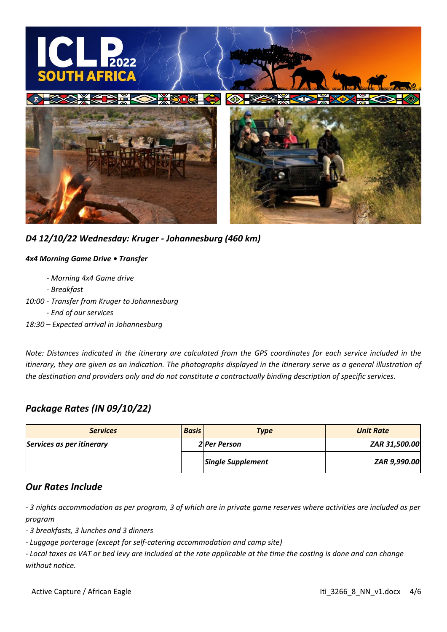

*D4 12/10/22 Wednesday: Kruger - Johannesburg (460 km)*

### *4x4 Morning Game Drive • Transfer*

- *- Morning 4x4 Game drive*
- *- Breakfast*
- *10:00 - Transfer from Kruger to Johannesburg*
	- *- End of our services*
- *18:30 – Expected arrival in Johannesburg*

*Note: Distances indicated in the itinerary are calculated from the GPS coordinates for each service included in the itinerary, they are given as an indication. The photographs displayed in the itinerary serve as a general illustration of the destination and providers only and do not constitute a contractually binding description of specific services.*

# *Package Rates (IN 09/10/22)*

| <b>Services</b>           | <b>Basis</b> | <b>Type</b>              | <b>Unit Rate</b> |
|---------------------------|--------------|--------------------------|------------------|
| Services as per itinerary |              | <b>2</b> Per Person      | ZAR 31,500.00    |
|                           |              | <b>Single Supplement</b> | ZAR 9,990.00     |

## *Our Rates Include*

*- 3 nights accommodation as per program, 3 of which are in private game reserves where activities are included as per program*

*- 3 breakfasts, 3 lunches and 3 dinners*

*- Luggage porterage (except for self-catering accommodation and camp site)*

*- Local taxes as VAT or bed levy are included at the rate applicable at the time the costing is done and can change without notice.*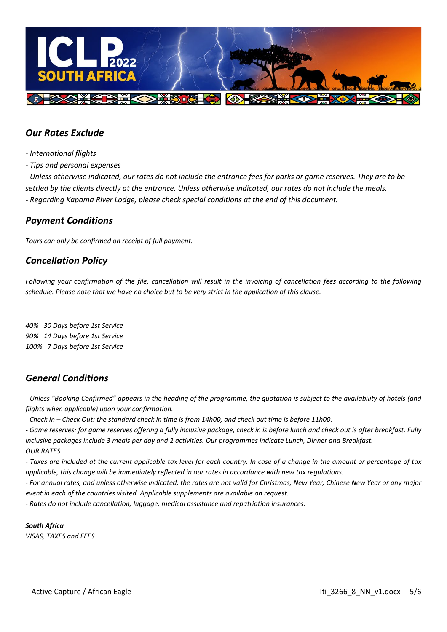

## *Our Rates Exclude*

- *- International flights*
- *- Tips and personal expenses*

*- Unless otherwise indicated, our rates do not include the entrance fees for parks or game reserves. They are to be settled by the clients directly at the entrance. Unless otherwise indicated, our rates do not include the meals. - Regarding Kapama River Lodge, please check special conditions at the end of this document.*

## *Payment Conditions*

*Tours can only be confirmed on receipt of full payment.*

## *Cancellation Policy*

*Following your confirmation of the file, cancellation will result in the invoicing of cancellation fees according to the following schedule. Please note that we have no choice but to be very strict in the application of this clause.*

*40% 30 Days before 1st Service 90% 14 Days before 1st Service 100% 7 Days before 1st Service* 

## *General Conditions*

*- Unless "Booking Confirmed" appears in the heading of the programme, the quotation is subject to the availability of hotels (and flights when applicable) upon your confirmation.*

*- Check In – Check Out: the standard check in time is from 14h00, and check out time is before 11h00.* 

*- Game reserves: for game reserves offering a fully inclusive package, check in is before lunch and check out is after breakfast. Fully inclusive packages include 3 meals per day and 2 activities. Our programmes indicate Lunch, Dinner and Breakfast. OUR RATES*

*- Taxes are included at the current applicable tax level for each country. In case of a change in the amount or percentage of tax applicable, this change will be immediately reflected in our rates in accordance with new tax regulations.*

*- For annual rates, and unless otherwise indicated, the rates are not valid for Christmas, New Year, Chinese New Year or any major event in each of the countries visited. Applicable supplements are available on request.*

*- Rates do not include cancellation, luggage, medical assistance and repatriation insurances.*

*South Africa VISAS, TAXES and FEES*